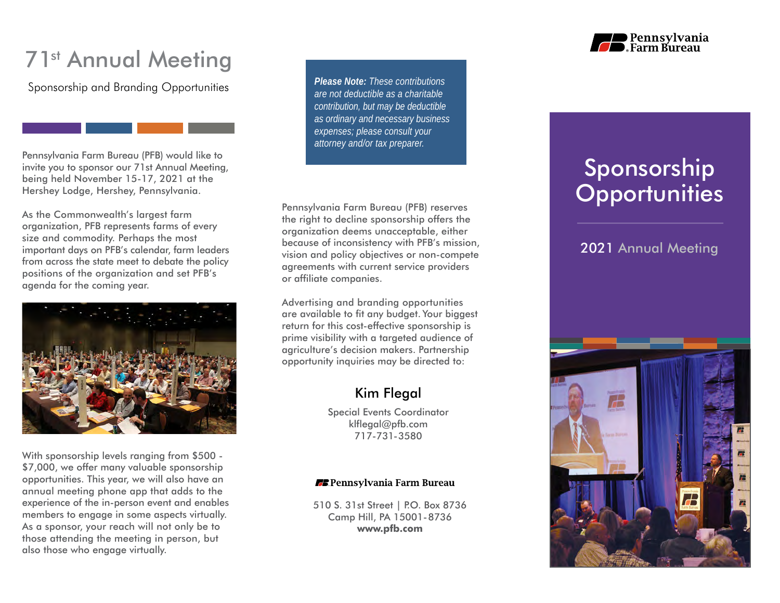# 71<sup>st</sup> Annual Meeting

Sponsorship and Branding Opportunities

Pennsylvania Farm Bureau (PFB) would like to invite you to sponsor our 71st Annual Meeting, being held November 15-17, 2021 at the Hershey Lodge, Hershey, Pennsylvania.

As the Commonwealth's largest farm organization, PFB represents farms of every size and commodity. Perhaps the most important days on PFB's calendar, farm leaders from across the state meet to debate the policy positions of the organization and set PFB's agenda for the coming year.



With sponsorship levels ranging from \$500 - \$7,000, we offer many valuable sponsorship opportunities. This year, we will also have an annual meeting phone app that adds to the experience of the in-person event and enables members to engage in some aspects virtually. As a sponsor, your reach will not only be to those attending the meeting in person, but also those who engage virtually.

*Please Note: These contributions are not deductible as a charitable contribution, but may be deductible as ordinary and necessary business expenses; please consult your attorney and/or tax preparer.*

Pennsylvania Farm Bureau (PFB) reserves the right to decline sponsorship offers the organization deems unacceptable, either because of inconsistency with PFB's mission, vision and policy objectives or non-compete agreements with current service providers or affiliate companies.

Advertising and branding opportunities are available to fit any budget. Your biggest return for this cost-effective sponsorship is prime visibility with a targeted audience of agriculture's decision makers. Partnership opportunity inquiries may be directed to:

## Kim Flegal

Special Events Coordinator klflegal@pfb.com 717-731-3580

#### **EE** Pennsylvania Farm Bureau

510 S. 31st Street | P.O. Box 8736 Camp Hill, PA 15001-8736 **www.pfb.com**



# Sponsorship **Opportunities**

## 2021 Annual Meeting